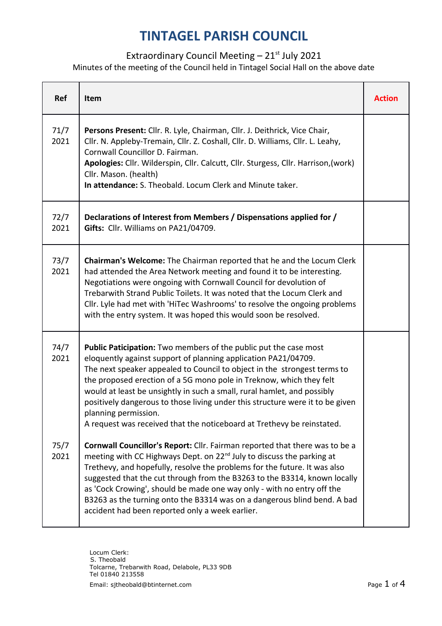## **TINTAGEL PARISH COUNCIL**

## Extraordinary Council Meeting  $-21$ <sup>st</sup> July 2021

Minutes of the meeting of the Council held in Tintagel Social Hall on the above date

| Ref          | Item                                                                                                                                                                                                                                                                                                                                                                                                                                                                                                                                                       | <b>Action</b> |
|--------------|------------------------------------------------------------------------------------------------------------------------------------------------------------------------------------------------------------------------------------------------------------------------------------------------------------------------------------------------------------------------------------------------------------------------------------------------------------------------------------------------------------------------------------------------------------|---------------|
| 71/7<br>2021 | Persons Present: Cllr. R. Lyle, Chairman, Cllr. J. Deithrick, Vice Chair,<br>Cllr. N. Appleby-Tremain, Cllr. Z. Coshall, Cllr. D. Williams, Cllr. L. Leahy,<br>Cornwall Councillor D. Fairman.<br>Apologies: Cllr. Wilderspin, Cllr. Calcutt, Cllr. Sturgess, Cllr. Harrison, (work)<br>Cllr. Mason. (health)<br>In attendance: S. Theobald. Locum Clerk and Minute taker.                                                                                                                                                                                 |               |
| 72/7<br>2021 | Declarations of Interest from Members / Dispensations applied for /<br>Gifts: Cllr. Williams on PA21/04709.                                                                                                                                                                                                                                                                                                                                                                                                                                                |               |
| 73/7<br>2021 | Chairman's Welcome: The Chairman reported that he and the Locum Clerk<br>had attended the Area Network meeting and found it to be interesting.<br>Negotiations were ongoing with Cornwall Council for devolution of<br>Trebarwith Strand Public Toilets. It was noted that the Locum Clerk and<br>Cllr. Lyle had met with 'HiTec Washrooms' to resolve the ongoing problems<br>with the entry system. It was hoped this would soon be resolved.                                                                                                            |               |
| 74/7<br>2021 | <b>Public Paticipation:</b> Two members of the public put the case most<br>eloquently against support of planning application PA21/04709.<br>The next speaker appealed to Council to object in the strongest terms to<br>the proposed erection of a 5G mono pole in Treknow, which they felt<br>would at least be unsightly in such a small, rural hamlet, and possibly<br>positively dangerous to those living under this structure were it to be given<br>planning permission.<br>A request was received that the noticeboard at Trethevy be reinstated. |               |
| 75/7<br>2021 | Cornwall Councillor's Report: Cllr. Fairman reported that there was to be a<br>meeting with CC Highways Dept. on 22 <sup>nd</sup> July to discuss the parking at<br>Trethevy, and hopefully, resolve the problems for the future. It was also<br>suggested that the cut through from the B3263 to the B3314, known locally<br>as 'Cock Crowing', should be made one way only - with no entry off the<br>B3263 as the turning onto the B3314 was on a dangerous blind bend. A bad<br>accident had been reported only a week earlier.                        |               |